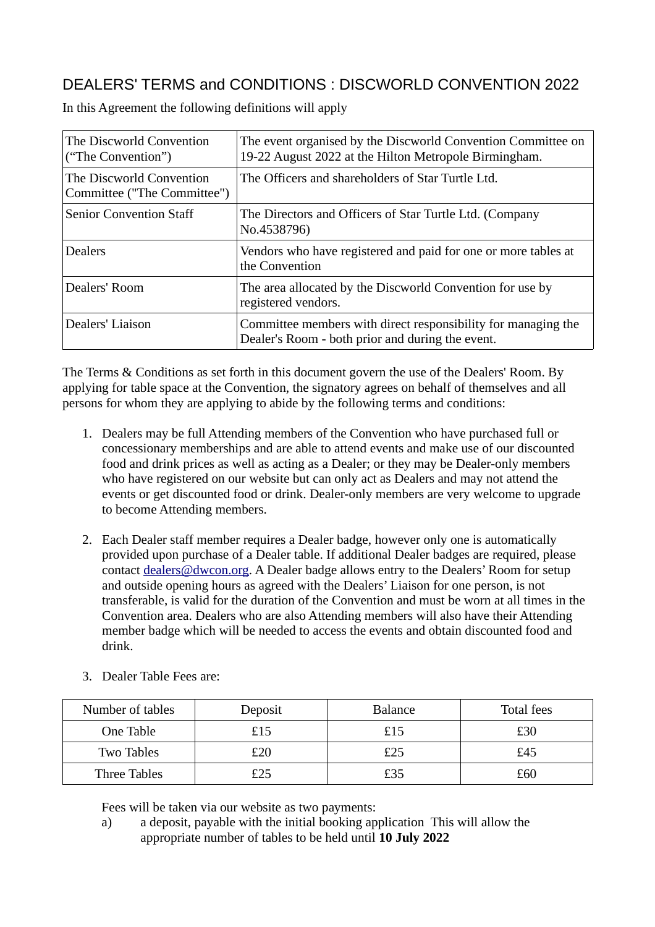## DEALERS' TERMS and CONDITIONS : DISCWORLD CONVENTION 2022

| The Discworld Convention<br>("The Convention")          | The event organised by the Discworld Convention Committee on<br>19-22 August 2022 at the Hilton Metropole Birmingham. |  |
|---------------------------------------------------------|-----------------------------------------------------------------------------------------------------------------------|--|
| The Discworld Convention<br>Committee ("The Committee") | The Officers and shareholders of Star Turtle Ltd.                                                                     |  |
| <b>Senior Convention Staff</b>                          | The Directors and Officers of Star Turtle Ltd. (Company<br>No.4538796)                                                |  |
| <b>Dealers</b>                                          | Vendors who have registered and paid for one or more tables at<br>the Convention                                      |  |
| Dealers' Room                                           | The area allocated by the Discworld Convention for use by<br>registered vendors.                                      |  |
| Dealers' Liaison                                        | Committee members with direct responsibility for managing the<br>Dealer's Room - both prior and during the event.     |  |

In this Agreement the following definitions will apply

The Terms & Conditions as set forth in this document govern the use of the Dealers' Room. By applying for table space at the Convention, the signatory agrees on behalf of themselves and all persons for whom they are applying to abide by the following terms and conditions:

- 1. Dealers may be full Attending members of the Convention who have purchased full or concessionary memberships and are able to attend events and make use of our discounted food and drink prices as well as acting as a Dealer; or they may be Dealer-only members who have registered on our website but can only act as Dealers and may not attend the events or get discounted food or drink. Dealer-only members are very welcome to upgrade to become Attending members.
- 2. Each Dealer staff member requires a Dealer badge, however only one is automatically provided upon purchase of a Dealer table. If additional Dealer badges are required, please contact dealers@dwcon.org. A Dealer badge allows entry to the Dealers' Room for setup and outside opening hours as agreed with the Dealers' Liaison for one person, is not transferable, is valid for the duration of the Convention and must be worn at all times in the Convention area. Dealers who are also Attending members will also have their Attending member badge which will be needed to access the events and obtain discounted food and drink.

| Number of tables    | Deposit | <b>Balance</b> | Total fees |
|---------------------|---------|----------------|------------|
| One Table           | £15     | £15            | £30        |
| <b>Two Tables</b>   | ናንበ     | £25            | £45        |
| <b>Three Tables</b> | £25     | £35            | £60        |

3. Dealer Table Fees are:

Fees will be taken via our website as two payments:

a) a deposit, payable with the initial booking application This will allow the appropriate number of tables to be held until **10 July 2022**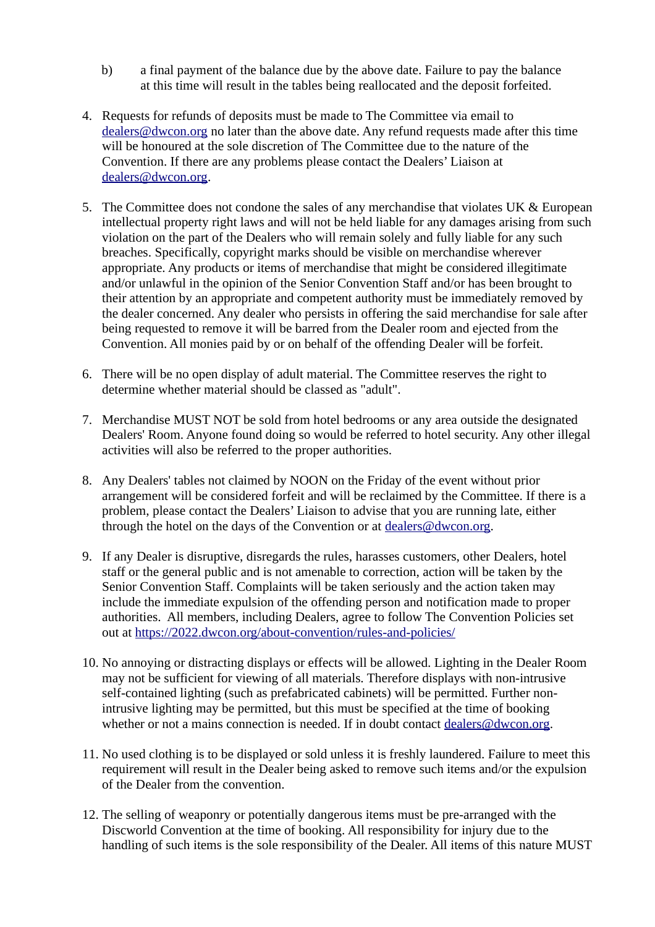- b) a final payment of the balance due by the above date. Failure to pay the balance at this time will result in the tables being reallocated and the deposit forfeited.
- 4. Requests for refunds of deposits must be made to The Committee via email to dealers@dwcon.org no later than the above date. Any refund requests made after this time will be honoured at the sole discretion of The Committee due to the nature of the Convention. If there are any problems please contact the Dealers' Liaison at dealers@dwcon.org.
- 5. The Committee does not condone the sales of any merchandise that violates UK & European intellectual property right laws and will not be held liable for any damages arising from such violation on the part of the Dealers who will remain solely and fully liable for any such breaches. Specifically, copyright marks should be visible on merchandise wherever appropriate. Any products or items of merchandise that might be considered illegitimate and/or unlawful in the opinion of the Senior Convention Staff and/or has been brought to their attention by an appropriate and competent authority must be immediately removed by the dealer concerned. Any dealer who persists in offering the said merchandise for sale after being requested to remove it will be barred from the Dealer room and ejected from the Convention. All monies paid by or on behalf of the offending Dealer will be forfeit.
- 6. There will be no open display of adult material. The Committee reserves the right to determine whether material should be classed as "adult".
- 7. Merchandise MUST NOT be sold from hotel bedrooms or any area outside the designated Dealers' Room. Anyone found doing so would be referred to hotel security. Any other illegal activities will also be referred to the proper authorities.
- 8. Any Dealers' tables not claimed by NOON on the Friday of the event without prior arrangement will be considered forfeit and will be reclaimed by the Committee. If there is a problem, please contact the Dealers' Liaison to advise that you are running late, either through the hotel on the days of the Convention or at dealers@dwcon.org.
- 9. If any Dealer is disruptive, disregards the rules, harasses customers, other Dealers, hotel staff or the general public and is not amenable to correction, action will be taken by the Senior Convention Staff. Complaints will be taken seriously and the action taken may include the immediate expulsion of the offending person and notification made to proper authorities. All members, including Dealers, agree to follow The Convention Policies set out at https://2022.dwcon.org/about-convention/rules-and-policies/
- 10. No annoying or distracting displays or effects will be allowed. Lighting in the Dealer Room may not be sufficient for viewing of all materials. Therefore displays with non-intrusive self-contained lighting (such as prefabricated cabinets) will be permitted. Further nonintrusive lighting may be permitted, but this must be specified at the time of booking whether or not a mains connection is needed. If in doubt contact dealers@dwcon.org.
- 11. No used clothing is to be displayed or sold unless it is freshly laundered. Failure to meet this requirement will result in the Dealer being asked to remove such items and/or the expulsion of the Dealer from the convention.
- 12. The selling of weaponry or potentially dangerous items must be pre-arranged with the Discworld Convention at the time of booking. All responsibility for injury due to the handling of such items is the sole responsibility of the Dealer. All items of this nature MUST